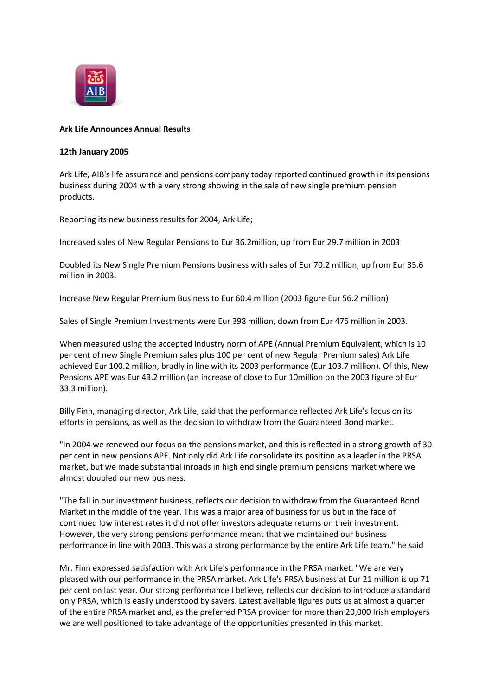

## **Ark Life Announces Annual Results**

## **12th January 2005**

Ark Life, AIB's life assurance and pensions company today reported continued growth in its pensions business during 2004 with a very strong showing in the sale of new single premium pension products.

Reporting its new business results for 2004, Ark Life;

Increased sales of New Regular Pensions to Eur 36.2million, up from Eur 29.7 million in 2003

Doubled its New Single Premium Pensions business with sales of Eur 70.2 million, up from Eur 35.6 million in 2003.

Increase New Regular Premium Business to Eur 60.4 million (2003 figure Eur 56.2 million)

Sales of Single Premium Investments were Eur 398 million, down from Eur 475 million in 2003.

When measured using the accepted industry norm of APE (Annual Premium Equivalent, which is 10 per cent of new Single Premium sales plus 100 per cent of new Regular Premium sales) Ark Life achieved Eur 100.2 million, bradly in line with its 2003 performance (Eur 103.7 million). Of this, New Pensions APE was Eur 43.2 million (an increase of close to Eur 10million on the 2003 figure of Eur 33.3 million).

Billy Finn, managing director, Ark Life, said that the performance reflected Ark Life's focus on its efforts in pensions, as well as the decision to withdraw from the Guaranteed Bond market.

"In 2004 we renewed our focus on the pensions market, and this is reflected in a strong growth of 30 per cent in new pensions APE. Not only did Ark Life consolidate its position as a leader in the PRSA market, but we made substantial inroads in high end single premium pensions market where we almost doubled our new business.

"The fall in our investment business, reflects our decision to withdraw from the Guaranteed Bond Market in the middle of the year. This was a major area of business for us but in the face of continued low interest rates it did not offer investors adequate returns on their investment. However, the very strong pensions performance meant that we maintained our business performance in line with 2003. This was a strong performance by the entire Ark Life team," he said

Mr. Finn expressed satisfaction with Ark Life's performance in the PRSA market. "We are very pleased with our performance in the PRSA market. Ark Life's PRSA business at Eur 21 million is up 71 per cent on last year. Our strong performance I believe, reflects our decision to introduce a standard only PRSA, which is easily understood by savers. Latest available figures puts us at almost a quarter of the entire PRSA market and, as the preferred PRSA provider for more than 20,000 Irish employers we are well positioned to take advantage of the opportunities presented in this market.